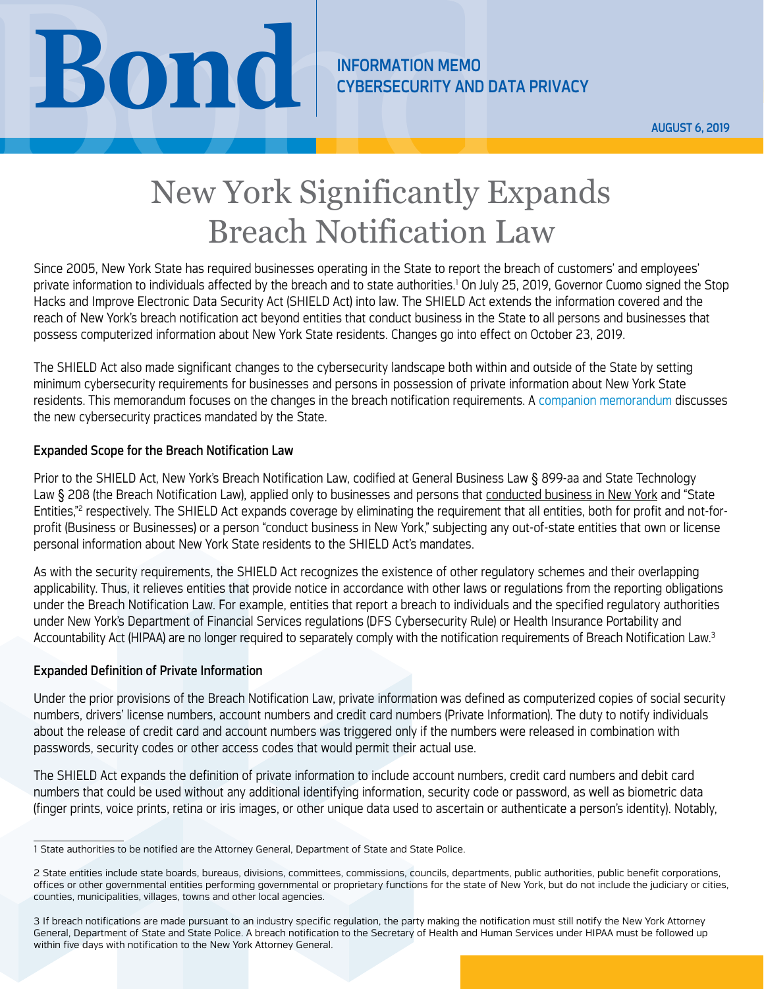NEORMATION MEMO<br>
CYBERSECURITY AND DATA PRIVACY<br>
New York Significantly Expands

CYBERSECURITY AND DATA PRIVACY

AUGUST 6, 2019

# New York Significantly Expands Breach Notification Law

Since 2005, New York State has required businesses operating in the State to report the breach of customers' and employees' private information to individuals affected by the breach and to state authorities.<sup>1</sup> On July 25, 2019, Governor Cuomo signed the Stop Hacks and Improve Electronic Data Security Act (SHIELD Act) into law. The SHIELD Act extends the information covered and the reach of New York's breach notification act beyond entities that conduct business in the State to all persons and businesses that possess computerized information about New York State residents. Changes go into effect on October 23, 2019.

The SHIELD Act also made significant changes to the cybersecurity landscape both within and outside of the State by setting minimum cybersecurity requirements for businesses and persons in possession of private information about New York State residents. This memorandum focuses on the changes in the breach notification requirements. A [companion memorandum](https://www.bsk.com/uploads/08-06-19-New-York-Enacts-Sweeping-New-Cybersecurity-Mandates-For-Businesses-Cyber-IM.pdf) discusses the new cybersecurity practices mandated by the State.

# Expanded Scope for the Breach Notification Law

Prior to the SHIELD Act, New York's Breach Notification Law, codified at General Business Law § 899-aa and State Technology Law § 208 (the Breach Notification Law), applied only to businesses and persons that conducted business in New York and "State Entities,"2 respectively. The SHIELD Act expands coverage by eliminating the requirement that all entities, both for profit and not-forprofit (Business or Businesses) or a person "conduct business in New York," subjecting any out-of-state entities that own or license personal information about New York State residents to the SHIELD Act's mandates.

As with the security requirements, the SHIELD Act recognizes the existence of other regulatory schemes and their overlapping applicability. Thus, it relieves entities that provide notice in accordance with other laws or regulations from the reporting obligations under the Breach Notification Law. For example, entities that report a breach to individuals and the specified regulatory authorities under New York's Department of Financial Services regulations (DFS Cybersecurity Rule) or Health Insurance Portability and Accountability Act (HIPAA) are no longer required to separately comply with the notification requirements of Breach Notification Law.<sup>3</sup>

# Expanded Definition of Private Information

Under the prior provisions of the Breach Notification Law, private information was defined as computerized copies of social security numbers, drivers' license numbers, account numbers and credit card numbers (Private Information). The duty to notify individuals about the release of credit card and account numbers was triggered only if the numbers were released in combination with passwords, security codes or other access codes that would permit their actual use.

The SHIELD Act expands the definition of private information to include account numbers, credit card numbers and debit card numbers that could be used without any additional identifying information, security code or password, as well as biometric data (finger prints, voice prints, retina or iris images, or other unique data used to ascertain or authenticate a person's identity). Notably,

<sup>1</sup> State authorities to be notified are the Attorney General, Department of State and State Police.

<sup>2</sup> State entities include state boards, bureaus, divisions, committees, commissions, councils, departments, public authorities, public benefit corporations, offices or other governmental entities performing governmental or proprietary functions for the state of New York, but do not include the judiciary or cities, counties, municipalities, villages, towns and other local agencies.

<sup>3</sup> If breach notifications are made pursuant to an industry specific regulation, the party making the notification must still notify the New York Attorney General, Department of State and State Police. A breach notification to the Secretary of Health and Human Services under HIPAA must be followed up within five days with notification to the New York Attorney General.